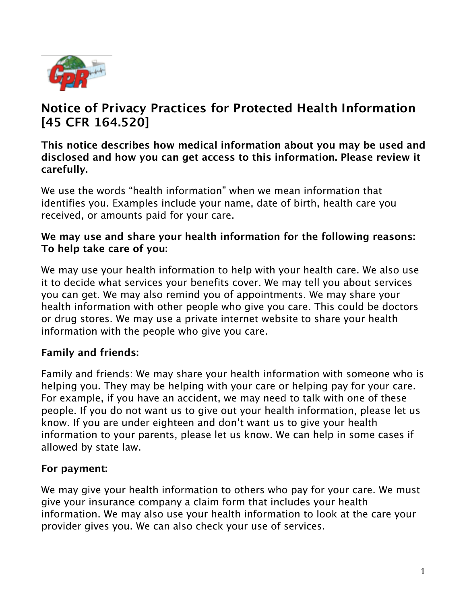

# **Notice of Privacy Practices for Protected Health Information [45 CFR 164.520]**

## **This notice describes how medical information about you may be used and disclosed and how you can get access to this information. Please review it carefully.**

We use the words "health information" when we mean information that identifies you. Examples include your name, date of birth, health care you received, or amounts paid for your care.

## **We may use and share your health information for the following reasons: To help take care of you:**

We may use your health information to help with your health care. We also use it to decide what services your benefits cover. We may tell you about services you can get. We may also remind you of appointments. We may share your health information with other people who give you care. This could be doctors or drug stores. We may use a private internet website to share your health information with the people who give you care.

# **Family and friends:**

Family and friends: We may share your health information with someone who is helping you. They may be helping with your care or helping pay for your care. For example, if you have an accident, we may need to talk with one of these people. If you do not want us to give out your health information, please let us know. If you are under eighteen and don't want us to give your health information to your parents, please let us know. We can help in some cases if allowed by state law.

# **For payment:**

We may give your health information to others who pay for your care. We must give your insurance company a claim form that includes your health information. We may also use your health information to look at the care your provider gives you. We can also check your use of services.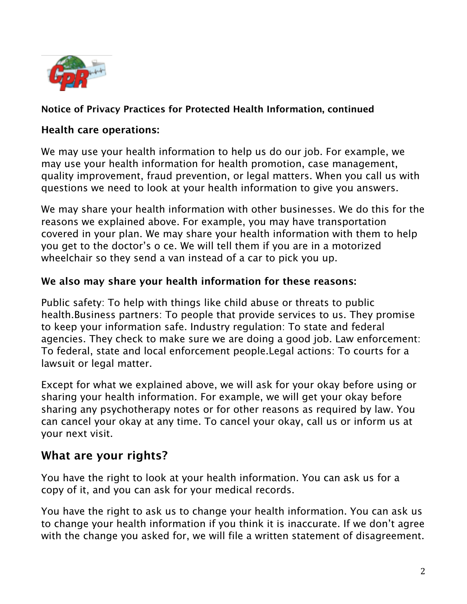

# **Notice of Privacy Practices for Protected Health Information, continued**

#### **Health care operations:**

We may use your health information to help us do our job. For example, we may use your health information for health promotion, case management, quality improvement, fraud prevention, or legal matters. When you call us with questions we need to look at your health information to give you answers.

We may share your health information with other businesses. We do this for the reasons we explained above. For example, you may have transportation covered in your plan. We may share your health information with them to help you get to the doctor's o ce. We will tell them if you are in a motorized wheelchair so they send a van instead of a car to pick you up.

#### **We also may share your health information for these reasons:**

Public safety: To help with things like child abuse or threats to public health.Business partners: To people that provide services to us. They promise to keep your information safe. Industry regulation: To state and federal agencies. They check to make sure we are doing a good job. Law enforcement: To federal, state and local enforcement people.Legal actions: To courts for a lawsuit or legal matter.

Except for what we explained above, we will ask for your okay before using or sharing your health information. For example, we will get your okay before sharing any psychotherapy notes or for other reasons as required by law. You can cancel your okay at any time. To cancel your okay, call us or inform us at your next visit.

# **What are your rights?**

You have the right to look at your health information. You can ask us for a copy of it, and you can ask for your medical records.

You have the right to ask us to change your health information. You can ask us to change your health information if you think it is inaccurate. If we don't agree with the change you asked for, we will file a written statement of disagreement.